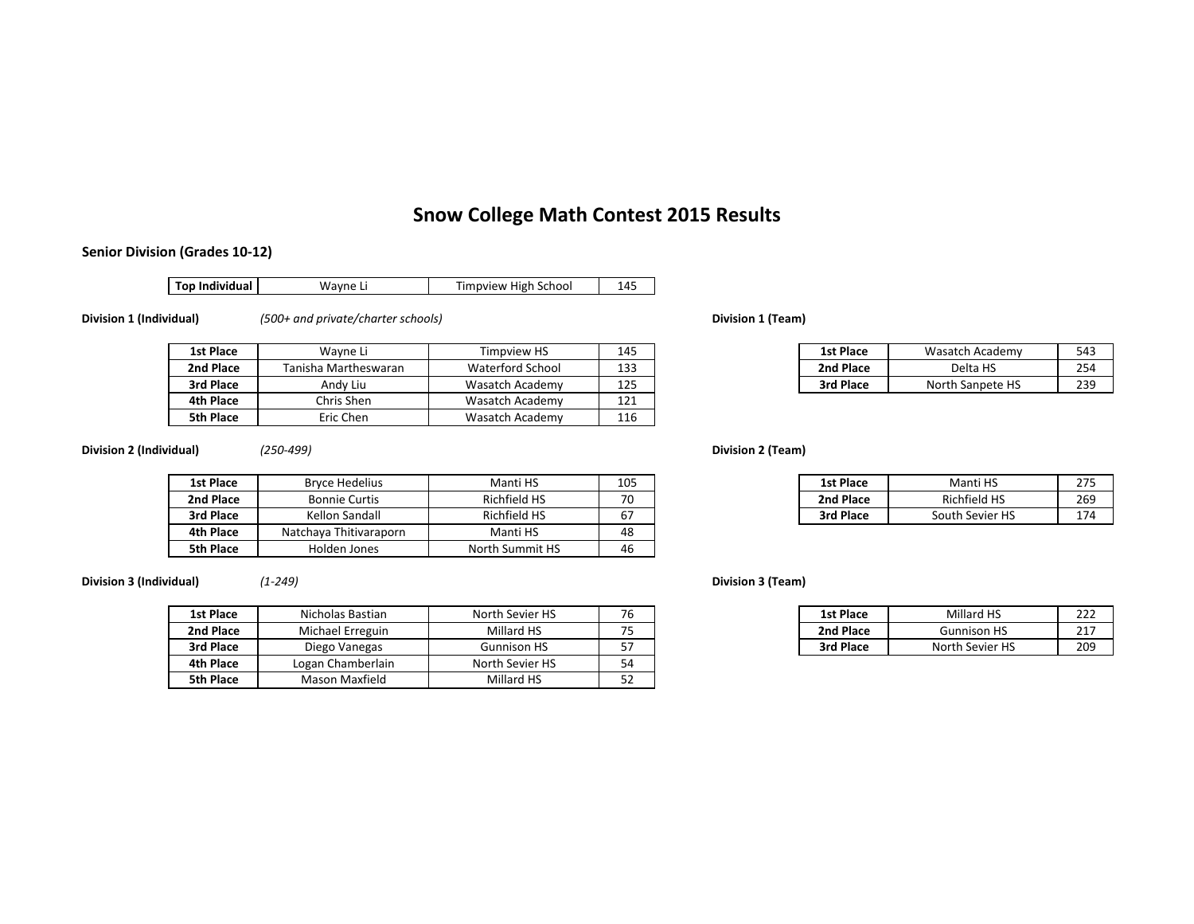# **Snow College Math Contest 2015 Results**

Wasatch Academy 121

Wasatch Academy 116

#### **Senior Division (Grades 10‐12)**

**Top Individual** Wayne Li **Timpview High School** 145

Chris Shen

Eric Chen

**Division 1 (Individual)** *(500+ and private/charter schools)* **Division 1 (Team)**

**1st Place**

**2nd Place**

**3rd Place**

**4th Place**

**5th Place**

|   | Wavne L              | <b>Fimpview HS</b> | 145       | <b>1st Place</b> | Wasatch Academy  | 543             |
|---|----------------------|--------------------|-----------|------------------|------------------|-----------------|
|   | Tanisha Martheswaran | Waterford School   | 123<br>∸∽ | 2nd Place        | Delta HS         | 254             |
| ο | Andy Liu             | Wasatch Academy    | 1つに<br>ᆂᆇ | 3rd Place        | North Sanpete HS | 23 <sup>c</sup> |

**Division 2 (Individual)** *(250‐499)* **Division 2 (Team)**

| 1st Place        | <b>Bryce Hedelius</b>  | Manti HS            | 105 | 1st Place | Manti HS            | 275             |
|------------------|------------------------|---------------------|-----|-----------|---------------------|-----------------|
| 2nd Place        | <b>Bonnie Curtis</b>   | <b>Richfield HS</b> | 70  | 2nd Place | <b>Richfield HS</b> | 26 <sup>c</sup> |
| 3rd Place        | Kellon Sandall         | Richfield HS        | 67  | 3rd Place | South Sevier HS     | 174             |
| 4th Place        | Natchava Thitivaraporn | Manti HS            | 48  |           |                     |                 |
| <b>5th Place</b> | Holden Jones           | North Summit HS     | 46  |           |                     |                 |

**Division 3 (Individual)** *(1‐249)* **Division 3 (Team)**

| 1st Place | Nicholas Bastian  | North Sevier HS    | 76              | <b>1st Place</b> | Millard HS         | 222 |
|-----------|-------------------|--------------------|-----------------|------------------|--------------------|-----|
| 2nd Place | Michael Erreguin  | Millard HS         | ᄀᄃ              | 2nd Place        | <b>Gunnison HS</b> | 217 |
| 3rd Place | Diego Vanegas     | <b>Gunnison HS</b> | $-$<br><u>.</u> | 3rd Place        | North Sevier HS    | 209 |
| 4th Place | Logan Chamberlain | North Sevier HS    | 54              |                  |                    |     |
| 5th Place | Mason Maxfield    | Millard HS         | $\sim$<br>ےر    |                  |                    |     |

| )5 | 1st Place | Manti HS            | 275 |
|----|-----------|---------------------|-----|
|    | 2nd Place | <b>Richfield HS</b> | 269 |
|    | 3rd Place | South Sevier HS     | 174 |

| North Sevier HS    | $\overline{\phantom{a}}$ | <b>1st Place</b> | Millard HS         | 222        |
|--------------------|--------------------------|------------------|--------------------|------------|
| Millard HS         | $- -$<br>-               | 2nd Place        | <b>Gunnison HS</b> | 217<br>21. |
| <b>Gunnison HS</b> | --<br>ັ                  | 3rd Place        | North Sevier HS    | 209        |